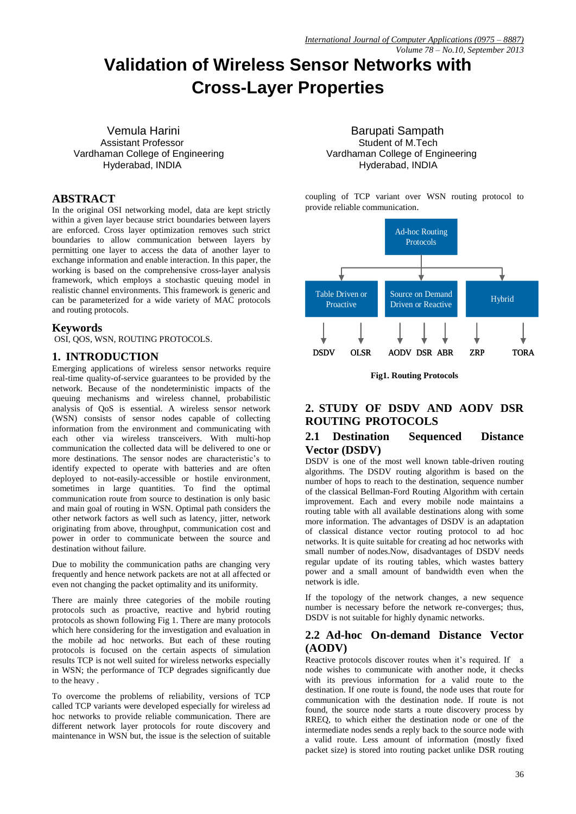# **Validation of Wireless Sensor Networks with Cross-Layer Properties**

Vemula Harini **Barupati Sampath** Assistant Professor **Student of M.Tech**  Vardhaman College of Engineering Vardhaman College of Engineering Hyderabad, INDIA Hyderabad, INDIA

# **ABSTRACT**

In the original OSI networking model, data are kept strictly within a given layer because strict boundaries between layers are enforced. Cross layer optimization removes such strict boundaries to allow communication between layers by permitting one layer to access the data of another layer to exchange information and enable interaction. In this paper, the working is based on the comprehensive cross-layer analysis framework, which employs a stochastic queuing model in realistic channel environments. This framework is generic and can be parameterized for a wide variety of MAC protocols and routing protocols.

# **Keywords**

OSI, QOS, WSN, ROUTING PROTOCOLS.

# **1. INTRODUCTION**

Emerging applications of wireless sensor networks require real-time quality-of-service guarantees to be provided by the network. Because of the nondeterministic impacts of the queuing mechanisms and wireless channel, probabilistic analysis of QoS is essential. A wireless sensor network (WSN) consists of sensor nodes capable of collecting information from the environment and communicating with each other via wireless transceivers. With multi-hop communication the collected data will be delivered to one or more destinations. The sensor nodes are characteristic's to identify expected to operate with batteries and are often deployed to not-easily-accessible or hostile environment, sometimes in large quantities. To find the optimal communication route from source to destination is only basic and main goal of routing in WSN. Optimal path considers the other network factors as well such as latency, jitter, network originating from above, throughput, communication cost and power in order to communicate between the source and destination without failure.

Due to mobility the communication paths are changing very frequently and hence network packets are not at all affected or even not changing the packet optimality and its uniformity.

There are mainly three categories of the mobile routing protocols such as proactive, reactive and hybrid routing protocols as shown following Fig 1. There are many protocols which here considering for the investigation and evaluation in the mobile ad hoc networks. But each of these routing protocols is focused on the certain aspects of simulation results TCP is not well suited for wireless networks especially in WSN; the performance of TCP degrades significantly due to the heavy .

To overcome the problems of reliability, versions of TCP called TCP variants were developed especially for wireless ad hoc networks to provide reliable communication. There are different network layer protocols for route discovery and maintenance in WSN but, the issue is the selection of suitable

coupling of TCP variant over WSN routing protocol to provide reliable communication.



**Fig1. Routing Protocols**

# **2. STUDY OF DSDV AND AODV DSR ROUTING PROTOCOLS**

## **2.1 Destination Sequenced Distance Vector (DSDV)**

DSDV is one of the most well known table-driven routing algorithms. The DSDV routing algorithm is based on the number of hops to reach to the destination, sequence number of the classical Bellman-Ford Routing Algorithm with certain improvement. Each and every mobile node maintains a routing table with all available destinations along with some more information. The advantages of DSDV is an adaptation of classical distance vector routing protocol to ad hoc networks. It is quite suitable for creating ad hoc networks with small number of nodes.Now, disadvantages of DSDV needs regular update of its routing tables, which wastes battery power and a small amount of bandwidth even when the network is idle.

If the topology of the network changes, a new sequence number is necessary before the network re-converges; thus, DSDV is not suitable for highly dynamic networks.

# **2.2 Ad-hoc On-demand Distance Vector (AODV)**

Reactive protocols discover routes when it's required. If a node wishes to communicate with another node, it checks with its previous information for a valid route to the destination. If one route is found, the node uses that route for communication with the destination node. If route is not found, the source node starts a route discovery process by RREQ, to which either the destination node or one of the intermediate nodes sends a reply back to the source node with a valid route. Less amount of information (mostly fixed packet size) is stored into routing packet unlike DSR routing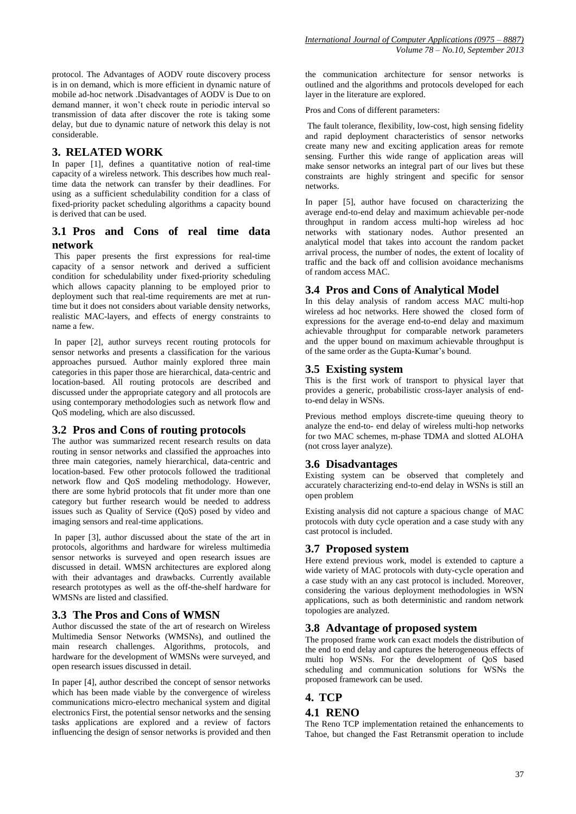protocol. The Advantages of AODV route discovery process is in on demand, which is more efficient in dynamic nature of mobile ad-hoc network .Disadvantages of AODV is Due to on demand manner, it won't check route in periodic interval so transmission of data after discover the rote is taking some delay, but due to dynamic nature of network this delay is not considerable.

#### **3. RELATED WORK**

In paper [1], defines a quantitative notion of real-time capacity of a wireless network. This describes how much realtime data the network can transfer by their deadlines. For using as a sufficient schedulability condition for a class of fixed-priority packet scheduling algorithms a capacity bound is derived that can be used.

## **3.1 Pros and Cons of real time data network**

This paper presents the first expressions for real-time capacity of a sensor network and derived a sufficient condition for schedulability under fixed-priority scheduling which allows capacity planning to be employed prior to deployment such that real-time requirements are met at runtime but it does not considers about variable density networks, realistic MAC-layers, and effects of energy constraints to name a few.

In paper [2], author surveys recent routing protocols for sensor networks and presents a classification for the various approaches pursued. Author mainly explored three main categories in this paper those are hierarchical, data-centric and location-based. All routing protocols are described and discussed under the appropriate category and all protocols are using contemporary methodologies such as network flow and QoS modeling, which are also discussed.

## **3.2 Pros and Cons of routing protocols**

The author was summarized recent research results on data routing in sensor networks and classified the approaches into three main categories, namely hierarchical, data-centric and location-based. Few other protocols followed the traditional network flow and QoS modeling methodology. However, there are some hybrid protocols that fit under more than one category but further research would be needed to address issues such as Quality of Service (QoS) posed by video and imaging sensors and real-time applications.

In paper [3], author discussed about the state of the art in protocols, algorithms and hardware for wireless multimedia sensor networks is surveyed and open research issues are discussed in detail. WMSN architectures are explored along with their advantages and drawbacks. Currently available research prototypes as well as the off-the-shelf hardware for WMSNs are listed and classified.

#### **3.3 The Pros and Cons of WMSN**

Author discussed the state of the art of research on Wireless Multimedia Sensor Networks (WMSNs), and outlined the main research challenges. Algorithms, protocols, and hardware for the development of WMSNs were surveyed, and open research issues discussed in detail.

In paper [4], author described the concept of sensor networks which has been made viable by the convergence of wireless communications micro-electro mechanical system and digital electronics First, the potential sensor networks and the sensing tasks applications are explored and a review of factors influencing the design of sensor networks is provided and then the communication architecture for sensor networks is outlined and the algorithms and protocols developed for each layer in the literature are explored.

Pros and Cons of different parameters:

The fault tolerance, flexibility, low-cost, high sensing fidelity and rapid deployment characteristics of sensor networks create many new and exciting application areas for remote sensing. Further this wide range of application areas will make sensor networks an integral part of our lives but these constraints are highly stringent and specific for sensor networks.

In paper [5], author have focused on characterizing the average end-to-end delay and maximum achievable per-node throughput in random access multi-hop wireless ad hoc networks with stationary nodes. Author presented an analytical model that takes into account the random packet arrival process, the number of nodes, the extent of locality of traffic and the back off and collision avoidance mechanisms of random access MAC.

# **3.4 Pros and Cons of Analytical Model**

In this delay analysis of random access MAC multi-hop wireless ad hoc networks. Here showed the closed form of expressions for the average end-to-end delay and maximum achievable throughput for comparable network parameters and the upper bound on maximum achievable throughput is of the same order as the Gupta-Kumar's bound.

#### **3.5 Existing system**

This is the first work of transport to physical layer that provides a generic, probabilistic cross-layer analysis of endto-end delay in WSNs.

Previous method employs discrete-time queuing theory to analyze the end-to- end delay of wireless multi-hop networks for two MAC schemes, m-phase TDMA and slotted ALOHA (not cross layer analyze).

## **3.6 Disadvantages**

Existing system can be observed that completely and accurately characterizing end-to-end delay in WSNs is still an open problem

Existing analysis did not capture a spacious change of MAC protocols with duty cycle operation and a case study with any cast protocol is included.

## **3.7 Proposed system**

Here extend previous work, model is extended to capture a wide variety of MAC protocols with duty-cycle operation and a case study with an any cast protocol is included. Moreover, considering the various deployment methodologies in WSN applications, such as both deterministic and random network topologies are analyzed.

## **3.8 Advantage of proposed system**

The proposed frame work can exact models the distribution of the end to end delay and captures the heterogeneous effects of multi hop WSNs. For the development of QoS based scheduling and communication solutions for WSNs the proposed framework can be used.

## **4. TCP**

#### **4.1 RENO**

The Reno TCP implementation retained the enhancements to Tahoe, but changed the Fast Retransmit operation to include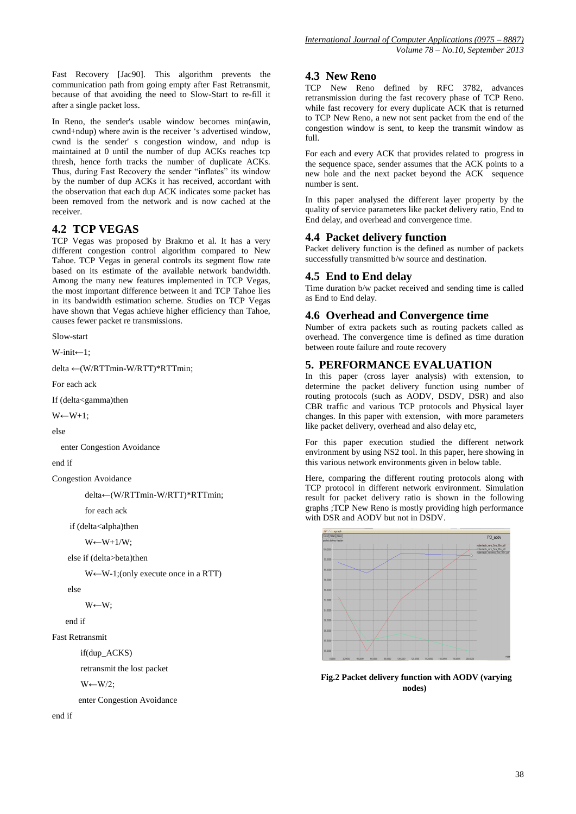Fast Recovery [Jac90]. This algorithm prevents the communication path from going empty after Fast Retransmit, because of that avoiding the need to Slow-Start to re-fill it after a single packet loss.

In Reno, the sender's usable window becomes min(awin, cwnd+ndup) where awin is the receiver 's advertised window, cwnd is the sender' s congestion window, and ndup is maintained at 0 until the number of dup ACKs reaches tcp thresh, hence forth tracks the number of duplicate ACKs. Thus, during Fast Recovery the sender "inflates" its window by the number of dup ACKs it has received, accordant with the observation that each dup ACK indicates some packet has been removed from the network and is now cached at the receiver.

# **4.2 TCP VEGAS**

TCP Vegas was proposed by Brakmo et al. It has a very different congestion control algorithm compared to New Tahoe. TCP Vegas in general controls its segment flow rate based on its estimate of the available network bandwidth. Among the many new features implemented in TCP Vegas, the most important difference between it and TCP Tahoe lies in its bandwidth estimation scheme. Studies on TCP Vegas have shown that Vegas achieve higher efficiency than Tahoe, causes fewer packet re transmissions.

Slow-start

```
W-init←1;
```
delta ←(W/RTTmin-W/RTT)\*RTTmin;

For each ack

If (delta<gamma)then

 $W \leftarrow W+1$ ;

else

enter Congestion Avoidance

end if

Congestion Avoidance

delta←(W/RTTmin-W/RTT)\*RTTmin;

for each ack

if (delta<alpha)then

 $W \leftarrow W + 1/W$ ;

else if (delta>beta)then

W←W-1;(only execute once in a RTT)

else

W←W;

end if

Fast Retransmit

if(dup\_ACKS)

retransmit the lost packet

W←W/2;

enter Congestion Avoidance

end if

#### **4.3 New Reno**

TCP New Reno defined by RFC 3782, advances retransmission during the fast recovery phase of TCP Reno. while fast recovery for every duplicate ACK that is returned to TCP New Reno, a new not sent packet from the end of the congestion window is sent, to keep the transmit window as full.

For each and every ACK that provides related to progress in the sequence space, sender assumes that the ACK points to a new hole and the next packet beyond the ACK sequence number is sent.

In this paper analysed the different layer property by the quality of service parameters like packet delivery ratio, End to End delay, and overhead and convergence time.

#### **4.4 Packet delivery function**

Packet delivery function is the defined as number of packets successfully transmitted b/w source and destination.

#### **4.5 End to End delay**

Time duration b/w packet received and sending time is called as End to End delay.

# **4.6 Overhead and Convergence time**

Number of extra packets such as routing packets called as overhead. The convergence time is defined as time duration between route failure and route recovery

# **5. PERFORMANCE EVALUATION**

In this paper (cross layer analysis) with extension, to determine the packet delivery function using number of routing protocols (such as AODV, DSDV, DSR) and also CBR traffic and various TCP protocols and Physical layer changes. In this paper with extension, with more parameters like packet delivery, overhead and also delay etc,

For this paper execution studied the different network environment by using NS2 tool. In this paper, here showing in this various network environments given in below table.

Here, comparing the different routing protocols along with TCP protocol in different network environment. Simulation result for packet delivery ratio is shown in the following graphs ;TCP New Reno is mostly providing high performance with DSR and AODV but not in DSDV.



**Fig.2 Packet delivery function with AODV (varying nodes)**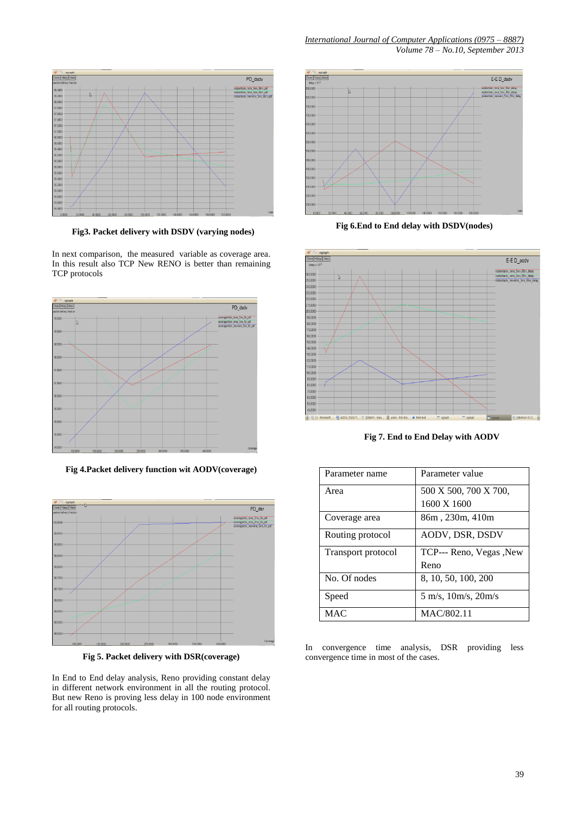

**Fig3. Packet delivery with DSDV (varying nodes)**

In next comparison, the measured variable as coverage area. In this result also TCP New RENO is better than remaining TCP protocols



**Fig 4.Packet delivery function wit AODV(coverage)**



**Fig 5. Packet delivery with DSR(coverage)**

In End to End delay analysis, Reno providing constant delay in different network environment in all the routing protocol. But new Reno is proving less delay in 100 node environment for all routing protocols.



**Fig 6.End to End delay with DSDV(nodes)**



**Fig 7. End to End Delay with AODV**

| Parameter name     | Parameter value                                 |
|--------------------|-------------------------------------------------|
| Area               | 500 X 500, 700 X 700,                           |
|                    | 1600 X 1600                                     |
| Coverage area      | 86m, 230m, 410m                                 |
| Routing protocol   | AODV, DSR, DSDV                                 |
| Transport protocol | TCP--- Reno, Vegas , New                        |
|                    | Reno                                            |
| No. Of nodes       | 8, 10, 50, 100, 200                             |
| Speed              | $5 \text{ m/s}, 10 \text{ m/s}, 20 \text{ m/s}$ |
| MAC.               | MAC/802.11                                      |

In convergence time analysis, DSR providing less convergence time in most of the cases.